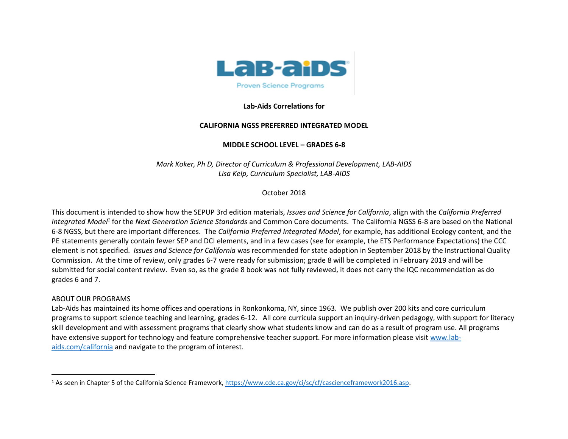

### **Lab-Aids Correlations for**

# **CALIFORNIA NGSS PREFERRED INTEGRATED MODEL**

# **MIDDLE SCHOOL LEVEL – GRADES 6-8**

*Mark Koker, Ph D, Director of Curriculum & Professional Development, LAB-AIDS Lisa Kelp, Curriculum Specialist, LAB-AIDS*

# October 2018

This document is intended to show how the SEPUP 3rd edition materials, *Issues and Science for California*, align with the *California Preferred Integrated Model<sup>1</sup>* for the *Next Generation Science Standards* and Common Core documents. The California NGSS 6-8 are based on the National 6-8 NGSS, but there are important differences. The *California Preferred Integrated Model*, for example, has additional Ecology content, and the PE statements generally contain fewer SEP and DCI elements, and in a few cases (see for example, the ETS Performance Expectations) the CCC element is not specified. *Issues and Science for California* was recommended for state adoption in September 2018 by the Instructional Quality Commission. At the time of review, only grades 6-7 were ready for submission; grade 8 will be completed in February 2019 and will be submitted for social content review. Even so, as the grade 8 book was not fully reviewed, it does not carry the IQC recommendation as do grades 6 and 7.

### ABOUT OUR PROGRAMS

Lab-Aids has maintained its home offices and operations in Ronkonkoma, NY, since 1963. We publish over 200 kits and core curriculum programs to support science teaching and learning, grades 6-12. All core curricula support an inquiry-driven pedagogy, with support for literacy skill development and with assessment programs that clearly show what students know and can do as a result of program use. All programs have extensive support for technology and feature comprehensive teacher support. For more information please visi[t www.lab](http://www.lab-aids.com/)[aids.com/](http://www.lab-aids.com/)california and navigate to the program of interest.

<sup>1</sup> As seen in Chapter 5 of the California Science Framework, [https://www.cde.ca.gov/ci/sc/cf/cascienceframework2016.asp.](https://www.cde.ca.gov/ci/sc/cf/cascienceframework2016.asp)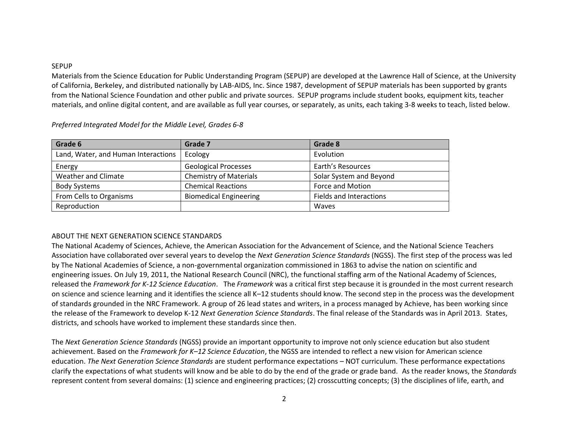#### SEPUP

Materials from the Science Education for Public Understanding Program (SEPUP) are developed at the Lawrence Hall of Science, at the University of California, Berkeley, and distributed nationally by LAB-AIDS, Inc. Since 1987, development of SEPUP materials has been supported by grants from the National Science Foundation and other public and private sources. SEPUP programs include student books, equipment kits, teacher materials, and online digital content, and are available as full year courses, or separately, as units, each taking 3-8 weeks to teach, listed below.

| Grade 6                             | Grade 7                       | Grade 8                        |
|-------------------------------------|-------------------------------|--------------------------------|
| Land, Water, and Human Interactions | Ecology                       | Evolution                      |
| Energy                              | <b>Geological Processes</b>   | Earth's Resources              |
| Weather and Climate                 | <b>Chemistry of Materials</b> | Solar System and Beyond        |
| <b>Body Systems</b>                 | <b>Chemical Reactions</b>     | Force and Motion               |
| From Cells to Organisms             | <b>Biomedical Engineering</b> | <b>Fields and Interactions</b> |
| Reproduction                        |                               | Waves                          |

*Preferred Integrated Model for the Middle Level, Grades 6-8*

### ABOUT THE NEXT GENERATION SCIENCE STANDARDS

The National Academy of Sciences, Achieve, the American Association for the Advancement of Science, and the National Science Teachers Association have collaborated over several years to develop the *Next Generation Science Standards* (NGSS). The first step of the process was led by The National Academies of Science, a non-governmental organization commissioned in 1863 to advise the nation on scientific and engineering issues. On July 19, 2011, the National Research Council (NRC), the functional staffing arm of the National Academy of Sciences, released the *Framework for K-12 Science Education*. The *Framework* was a critical first step because it is grounded in the most current research on science and science learning and it identifies the science all K–12 students should know. The second step in the process was the development of standards grounded in the NRC Framework. A group of 26 lead states and writers, in a process managed by Achieve, has been working since the release of the Framework to develop K-12 *Next Generation Science Standards*. The final release of the Standards was in April 2013. States, districts, and schools have worked to implement these standards since then.

The *Next Generation Science Standards* (NGSS) provide an important opportunity to improve not only science education but also student achievement. Based on the *Framework for K–12 Science Education*, the NGSS are intended to reflect a new vision for American science education. *The Next Generation Science Standards* are student performance expectations – NOT curriculum. These performance expectations clarify the expectations of what students will know and be able to do by the end of the grade or grade band. As the reader knows, the *Standards* represent content from several domains: (1) science and engineering practices; (2) crosscutting concepts; (3) the disciplines of life, earth, and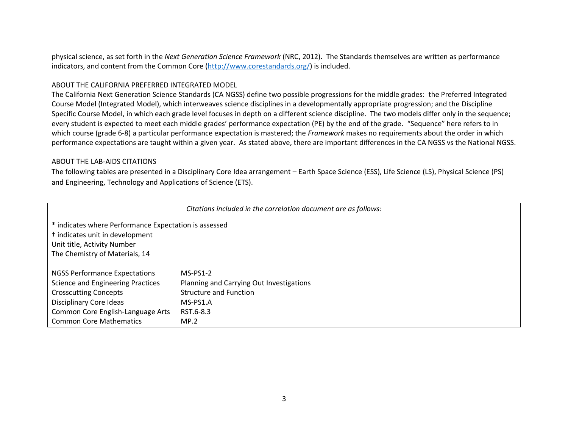physical science, as set forth in the *Next Generation Science Framework* (NRC, 2012). The Standards themselves are written as performance indicators, and content from the Common Core [\(http://www.corestandards.org/\)](http://www.corestandards.org/) is included.

### ABOUT THE CALIFORNIA PREFERRED INTEGRATED MODEL

The California Next Generation Science Standards (CA NGSS) define two possible progressions for the middle grades: the Preferred Integrated Course Model (Integrated Model), which interweaves science disciplines in a developmentally appropriate progression; and the Discipline Specific Course Model, in which each grade level focuses in depth on a different science discipline. The two models differ only in the sequence; every student is expected to meet each middle grades' performance expectation (PE) by the end of the grade. "Sequence" here refers to in which course (grade 6-8) a particular performance expectation is mastered; the *Framework* makes no requirements about the order in which performance expectations are taught within a given year. As stated above, there are important differences in the CA NGSS vs the National NGSS.

### ABOUT THE LAB-AIDS CITATIONS

The following tables are presented in a Disciplinary Core Idea arrangement – Earth Space Science (ESS), Life Science (LS), Physical Science (PS) and Engineering, Technology and Applications of Science (ETS).

| Citations included in the correlation document are as follows:                                                                                                       |                                          |  |  |  |
|----------------------------------------------------------------------------------------------------------------------------------------------------------------------|------------------------------------------|--|--|--|
| * indicates where Performance Expectation is assessed<br><sup>†</sup> indicates unit in development<br>Unit title, Activity Number<br>The Chemistry of Materials, 14 |                                          |  |  |  |
| <b>NGSS Performance Expectations</b>                                                                                                                                 | $MS-PS1-2$                               |  |  |  |
| <b>Science and Engineering Practices</b>                                                                                                                             | Planning and Carrying Out Investigations |  |  |  |
| <b>Crosscutting Concepts</b>                                                                                                                                         | <b>Structure and Function</b>            |  |  |  |
| Disciplinary Core Ideas                                                                                                                                              | MS-PS1.A                                 |  |  |  |
| Common Core English-Language Arts                                                                                                                                    | RST.6-8.3                                |  |  |  |
| <b>Common Core Mathematics</b>                                                                                                                                       | MP.2                                     |  |  |  |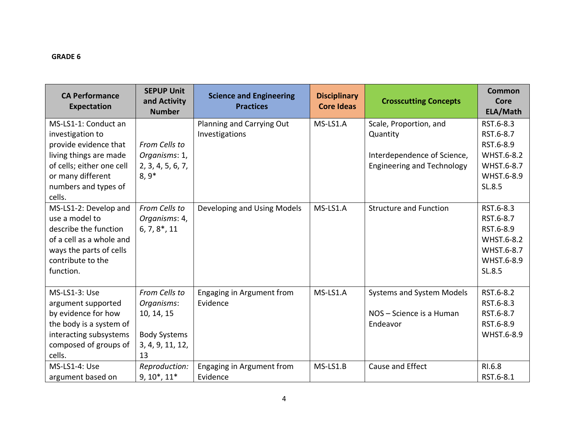| <b>CA Performance</b><br><b>Expectation</b> | <b>SEPUP Unit</b><br>and Activity<br><b>Number</b> | <b>Science and Engineering</b><br><b>Practices</b> | <b>Disciplinary</b><br><b>Core Ideas</b> | <b>Crosscutting Concepts</b>      | Common<br>Core<br>ELA/Math |
|---------------------------------------------|----------------------------------------------------|----------------------------------------------------|------------------------------------------|-----------------------------------|----------------------------|
| MS-LS1-1: Conduct an                        |                                                    | Planning and Carrying Out                          | MS-LS1.A                                 | Scale, Proportion, and            | RST.6-8.3                  |
| investigation to                            |                                                    | Investigations                                     |                                          | Quantity                          | RST.6-8.7                  |
| provide evidence that                       | From Cells to                                      |                                                    |                                          |                                   | RST.6-8.9                  |
| living things are made                      | Organisms: 1,                                      |                                                    |                                          | Interdependence of Science,       | WHST.6-8.2                 |
| of cells; either one cell                   | 2, 3, 4, 5, 6, 7,                                  |                                                    |                                          | <b>Engineering and Technology</b> | WHST.6-8.7                 |
| or many different                           | $8,9*$                                             |                                                    |                                          |                                   | WHST.6-8.9                 |
| numbers and types of                        |                                                    |                                                    |                                          |                                   | SL.8.5                     |
| cells.                                      |                                                    |                                                    |                                          |                                   |                            |
| MS-LS1-2: Develop and                       | From Cells to                                      | Developing and Using Models                        | MS-LS1.A                                 | <b>Structure and Function</b>     | RST.6-8.3                  |
| use a model to                              | Organisms: 4,                                      |                                                    |                                          |                                   | RST.6-8.7                  |
| describe the function                       | $6, 7, 8^*, 11$                                    |                                                    |                                          |                                   | RST.6-8.9                  |
| of a cell as a whole and                    |                                                    |                                                    |                                          |                                   | WHST.6-8.2                 |
| ways the parts of cells                     |                                                    |                                                    |                                          |                                   | WHST.6-8.7                 |
| contribute to the                           |                                                    |                                                    |                                          |                                   | WHST.6-8.9                 |
| function.                                   |                                                    |                                                    |                                          |                                   | SL.8.5                     |
|                                             |                                                    |                                                    |                                          |                                   |                            |
| MS-LS1-3: Use                               | From Cells to                                      | Engaging in Argument from                          | MS-LS1.A                                 | <b>Systems and System Models</b>  | RST.6-8.2                  |
| argument supported                          | Organisms:                                         | Evidence                                           |                                          |                                   | RST.6-8.3                  |
| by evidence for how                         | 10, 14, 15                                         |                                                    |                                          | NOS - Science is a Human          | RST.6-8.7                  |
| the body is a system of                     |                                                    |                                                    |                                          | Endeavor                          | RST.6-8.9                  |
| interacting subsystems                      | <b>Body Systems</b>                                |                                                    |                                          |                                   | WHST.6-8.9                 |
| composed of groups of                       | 3, 4, 9, 11, 12,                                   |                                                    |                                          |                                   |                            |
| cells.                                      | 13                                                 |                                                    |                                          |                                   |                            |
| MS-LS1-4: Use                               | Reproduction:                                      | Engaging in Argument from                          | MS-LS1.B                                 | Cause and Effect                  | RI.6.8                     |
| argument based on                           | $9, 10^*, 11^*$                                    | Evidence                                           |                                          |                                   | RST.6-8.1                  |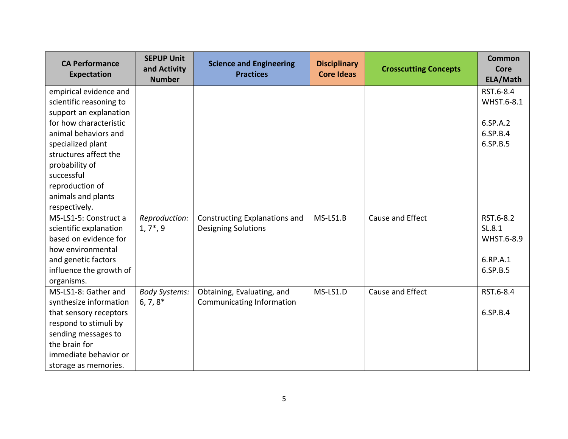| <b>CA Performance</b><br><b>Expectation</b> | <b>SEPUP Unit</b><br>and Activity<br><b>Number</b> | <b>Science and Engineering</b><br><b>Practices</b> | <b>Disciplinary</b><br><b>Core Ideas</b> | <b>Crosscutting Concepts</b> | <b>Common</b><br><b>Core</b><br>ELA/Math |
|---------------------------------------------|----------------------------------------------------|----------------------------------------------------|------------------------------------------|------------------------------|------------------------------------------|
| empirical evidence and                      |                                                    |                                                    |                                          |                              | RST.6-8.4                                |
| scientific reasoning to                     |                                                    |                                                    |                                          |                              | WHST.6-8.1                               |
| support an explanation                      |                                                    |                                                    |                                          |                              |                                          |
| for how characteristic                      |                                                    |                                                    |                                          |                              | 6.SP.A.2                                 |
| animal behaviors and                        |                                                    |                                                    |                                          |                              | 6.SP.B.4                                 |
| specialized plant                           |                                                    |                                                    |                                          |                              | 6.SP.B.5                                 |
| structures affect the                       |                                                    |                                                    |                                          |                              |                                          |
| probability of                              |                                                    |                                                    |                                          |                              |                                          |
| successful                                  |                                                    |                                                    |                                          |                              |                                          |
| reproduction of                             |                                                    |                                                    |                                          |                              |                                          |
| animals and plants                          |                                                    |                                                    |                                          |                              |                                          |
| respectively.                               |                                                    |                                                    |                                          |                              |                                          |
| MS-LS1-5: Construct a                       | Reproduction:                                      | Constructing Explanations and                      | MS-LS1.B                                 | Cause and Effect             | RST.6-8.2                                |
| scientific explanation                      | $1, 7^*$ , 9                                       | <b>Designing Solutions</b>                         |                                          |                              | SL.8.1                                   |
| based on evidence for                       |                                                    |                                                    |                                          |                              | WHST.6-8.9                               |
| how environmental                           |                                                    |                                                    |                                          |                              |                                          |
| and genetic factors                         |                                                    |                                                    |                                          |                              | 6.RP.A.1                                 |
| influence the growth of                     |                                                    |                                                    |                                          |                              | 6.SP.B.5                                 |
| organisms.                                  |                                                    |                                                    |                                          |                              |                                          |
| MS-LS1-8: Gather and                        | <b>Body Systems:</b>                               | Obtaining, Evaluating, and                         | MS-LS1.D                                 | Cause and Effect             | RST.6-8.4                                |
| synthesize information                      | $6, 7, 8^*$                                        | Communicating Information                          |                                          |                              |                                          |
| that sensory receptors                      |                                                    |                                                    |                                          |                              | 6.SP.B.4                                 |
| respond to stimuli by                       |                                                    |                                                    |                                          |                              |                                          |
| sending messages to                         |                                                    |                                                    |                                          |                              |                                          |
| the brain for                               |                                                    |                                                    |                                          |                              |                                          |
| immediate behavior or                       |                                                    |                                                    |                                          |                              |                                          |
| storage as memories.                        |                                                    |                                                    |                                          |                              |                                          |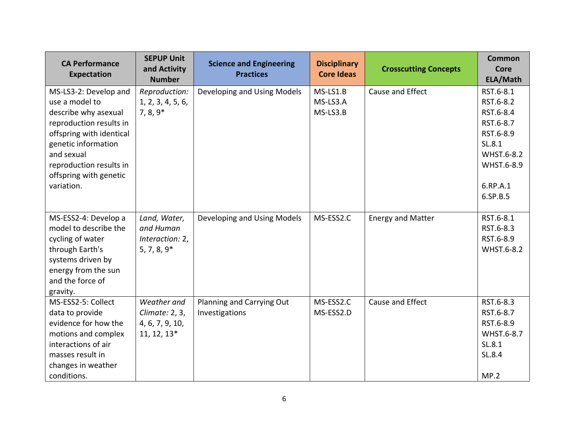| <b>CA Performance</b><br>Expectation                                                                                                                                                                                           | <b>SEPUP Unit</b><br>and Activity<br><b>Number</b>              | <b>Science and Engineering</b><br><b>Practices</b> | <b>Disciplinary</b><br><b>Core Ideas</b> | <b>Crosscutting Concepts</b> | <b>Common</b><br>Core<br>ELA/Math                                                                                           |
|--------------------------------------------------------------------------------------------------------------------------------------------------------------------------------------------------------------------------------|-----------------------------------------------------------------|----------------------------------------------------|------------------------------------------|------------------------------|-----------------------------------------------------------------------------------------------------------------------------|
| MS-LS3-2: Develop and<br>use a model to<br>describe why asexual<br>reproduction results in<br>offspring with identical<br>genetic information<br>and sexual<br>reproduction results in<br>offspring with genetic<br>variation. | Reproduction:<br>1, 2, 3, 4, 5, 6,<br>$7, 8, 9*$                | Developing and Using Models                        | MS-LS1.B<br>MS-LS3.A<br>MS-LS3.B         | Cause and Effect             | RST.6-8.1<br>RST.6-8.2<br>RST.6-8.4<br>RST.6-8.7<br>RST.6-8.9<br>SL.8.1<br>WHST.6-8.2<br>WHST.6-8.9<br>6.RP.A.1<br>6.SP.B.5 |
| MS-ESS2-4: Develop a<br>model to describe the<br>cycling of water<br>through Earth's<br>systems driven by<br>energy from the sun<br>and the force of<br>gravity.                                                               | Land, Water,<br>and Human<br>Interaction: 2,<br>$5, 7, 8, 9*$   | Developing and Using Models                        | MS-ESS2.C                                | <b>Energy and Matter</b>     | RST.6-8.1<br>RST.6-8.3<br>RST.6-8.9<br>WHST.6-8.2                                                                           |
| MS-ESS2-5: Collect<br>data to provide<br>evidence for how the<br>motions and complex<br>interactions of air<br>masses result in<br>changes in weather<br>conditions.                                                           | Weather and<br>Climate: 2, 3,<br>4, 6, 7, 9, 10,<br>11, 12, 13* | Planning and Carrying Out<br>Investigations        | MS-ESS2.C<br>MS-ESS2.D                   | Cause and Effect             | RST.6-8.3<br>RST.6-8.7<br>RST.6-8.9<br>WHST.6-8.7<br>SL.8.1<br>SL.8.4<br>MP.2                                               |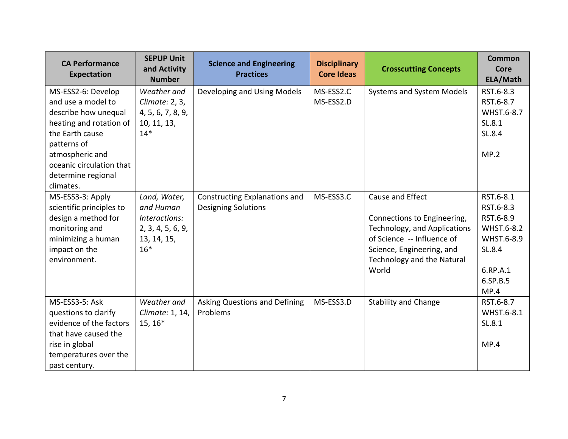| <b>CA Performance</b><br><b>Expectation</b>                                                                                                                                                                     | <b>SEPUP Unit</b><br>and Activity<br><b>Number</b>                                      | <b>Science and Engineering</b><br><b>Practices</b>          | <b>Disciplinary</b><br><b>Core Ideas</b> | <b>Crosscutting Concepts</b>                                                                                                                                                      | <b>Common</b><br><b>Core</b><br>ELA/Math                                                                  |
|-----------------------------------------------------------------------------------------------------------------------------------------------------------------------------------------------------------------|-----------------------------------------------------------------------------------------|-------------------------------------------------------------|------------------------------------------|-----------------------------------------------------------------------------------------------------------------------------------------------------------------------------------|-----------------------------------------------------------------------------------------------------------|
| MS-ESS2-6: Develop<br>and use a model to<br>describe how unequal<br>heating and rotation of<br>the Earth cause<br>patterns of<br>atmospheric and<br>oceanic circulation that<br>determine regional<br>climates. | Weather and<br>Climate: 2, 3,<br>4, 5, 6, 7, 8, 9,<br>10, 11, 13,<br>$14*$              | Developing and Using Models                                 | MS-ESS2.C<br>MS-ESS2.D                   | <b>Systems and System Models</b>                                                                                                                                                  | RST.6-8.3<br>RST.6-8.7<br>WHST.6-8.7<br>SL.8.1<br>SL.8.4<br>MP.2                                          |
| MS-ESS3-3: Apply<br>scientific principles to<br>design a method for<br>monitoring and<br>minimizing a human<br>impact on the<br>environment.                                                                    | Land, Water,<br>and Human<br>Interactions:<br>2, 3, 4, 5, 6, 9,<br>13, 14, 15,<br>$16*$ | Constructing Explanations and<br><b>Designing Solutions</b> | MS-ESS3.C                                | Cause and Effect<br>Connections to Engineering,<br>Technology, and Applications<br>of Science -- Influence of<br>Science, Engineering, and<br>Technology and the Natural<br>World | RST.6-8.1<br>RST.6-8.3<br>RST.6-8.9<br>WHST.6-8.2<br>WHST.6-8.9<br>SL.8.4<br>6.RP.A.1<br>6.SP.B.5<br>MP.4 |
| MS-ESS3-5: Ask<br>questions to clarify<br>evidence of the factors<br>that have caused the<br>rise in global<br>temperatures over the<br>past century.                                                           | Weather and<br>Climate: 1, 14,<br>$15, 16*$                                             | Asking Questions and Defining<br>Problems                   | MS-ESS3.D                                | <b>Stability and Change</b>                                                                                                                                                       | RST.6-8.7<br>WHST.6-8.1<br>SL.8.1<br>MP.4                                                                 |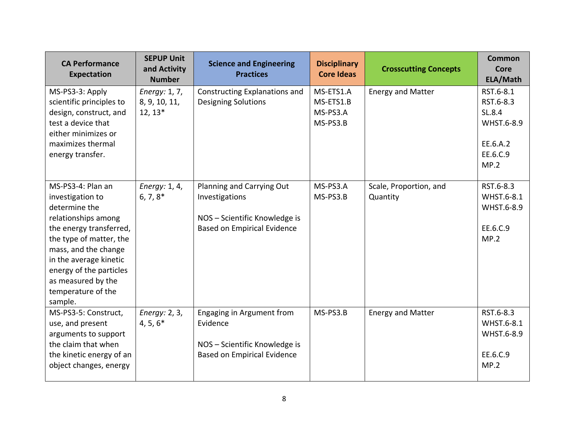| <b>CA Performance</b><br><b>Expectation</b>                                                                                                                                                                                                                             | <b>SEPUP Unit</b><br>and Activity<br><b>Number</b> | <b>Science and Engineering</b><br><b>Practices</b>                                                                 | <b>Disciplinary</b><br><b>Core Ideas</b>       | <b>Crosscutting Concepts</b>       | <b>Common</b><br>Core<br>ELA/Math                                              |
|-------------------------------------------------------------------------------------------------------------------------------------------------------------------------------------------------------------------------------------------------------------------------|----------------------------------------------------|--------------------------------------------------------------------------------------------------------------------|------------------------------------------------|------------------------------------|--------------------------------------------------------------------------------|
| MS-PS3-3: Apply<br>scientific principles to<br>design, construct, and<br>test a device that<br>either minimizes or<br>maximizes thermal<br>energy transfer.                                                                                                             | Energy: 1, 7,<br>8, 9, 10, 11,<br>$12, 13*$        | Constructing Explanations and<br><b>Designing Solutions</b>                                                        | MS-ETS1.A<br>MS-ETS1.B<br>MS-PS3.A<br>MS-PS3.B | <b>Energy and Matter</b>           | RST.6-8.1<br>RST.6-8.3<br>SL.8.4<br>WHST.6-8.9<br>EE.6.A.2<br>EE.6.C.9<br>MP.2 |
| MS-PS3-4: Plan an<br>investigation to<br>determine the<br>relationships among<br>the energy transferred,<br>the type of matter, the<br>mass, and the change<br>in the average kinetic<br>energy of the particles<br>as measured by the<br>temperature of the<br>sample. | Energy: 1, 4,<br>$6, 7, 8^*$                       | Planning and Carrying Out<br>Investigations<br>NOS - Scientific Knowledge is<br><b>Based on Empirical Evidence</b> | MS-PS3.A<br>MS-PS3.B                           | Scale, Proportion, and<br>Quantity | RST.6-8.3<br>WHST.6-8.1<br>WHST.6-8.9<br>EE.6.C.9<br>MP.2                      |
| MS-PS3-5: Construct,<br>use, and present<br>arguments to support<br>the claim that when<br>the kinetic energy of an<br>object changes, energy                                                                                                                           | Energy: 2, 3,<br>$4, 5, 6*$                        | Engaging in Argument from<br>Evidence<br>NOS - Scientific Knowledge is<br><b>Based on Empirical Evidence</b>       | MS-PS3.B                                       | <b>Energy and Matter</b>           | RST.6-8.3<br>WHST.6-8.1<br>WHST.6-8.9<br>EE.6.C.9<br>MP.2                      |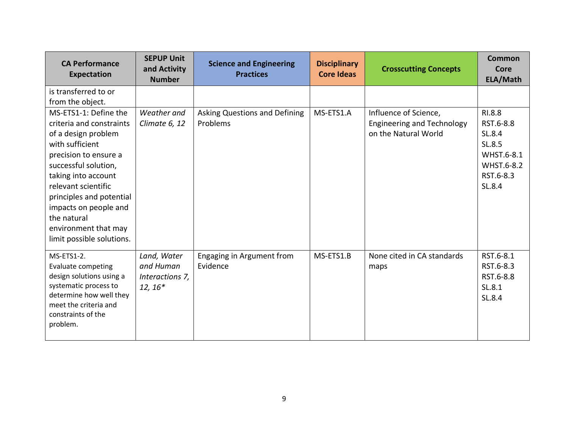| <b>CA Performance</b><br><b>Expectation</b>                                                                                                                                                                                                                                                                         | <b>SEPUP Unit</b><br>and Activity<br><b>Number</b>       | <b>Science and Engineering</b><br><b>Practices</b> | <b>Disciplinary</b><br><b>Core Ideas</b> | <b>Crosscutting Concepts</b>                                                       | <b>Common</b><br>Core<br>ELA/Math                                                          |
|---------------------------------------------------------------------------------------------------------------------------------------------------------------------------------------------------------------------------------------------------------------------------------------------------------------------|----------------------------------------------------------|----------------------------------------------------|------------------------------------------|------------------------------------------------------------------------------------|--------------------------------------------------------------------------------------------|
| is transferred to or<br>from the object.                                                                                                                                                                                                                                                                            |                                                          |                                                    |                                          |                                                                                    |                                                                                            |
| MS-ETS1-1: Define the<br>criteria and constraints<br>of a design problem<br>with sufficient<br>precision to ensure a<br>successful solution,<br>taking into account<br>relevant scientific<br>principles and potential<br>impacts on people and<br>the natural<br>environment that may<br>limit possible solutions. | Weather and<br>Climate 6, 12                             | Asking Questions and Defining<br>Problems          | MS-ETS1.A                                | Influence of Science,<br><b>Engineering and Technology</b><br>on the Natural World | RI.8.8<br>RST.6-8.8<br>SL.8.4<br>SL.8.5<br>WHST.6-8.1<br>WHST.6-8.2<br>RST.6-8.3<br>SL.8.4 |
| MS-ETS1-2.<br><b>Evaluate competing</b><br>design solutions using a<br>systematic process to<br>determine how well they<br>meet the criteria and<br>constraints of the<br>problem.                                                                                                                                  | Land, Water<br>and Human<br>Interactions 7,<br>$12, 16*$ | Engaging in Argument from<br>Evidence              | MS-ETS1.B                                | None cited in CA standards<br>maps                                                 | RST.6-8.1<br>RST.6-8.3<br>RST.6-8.8<br>SL.8.1<br>SL.8.4                                    |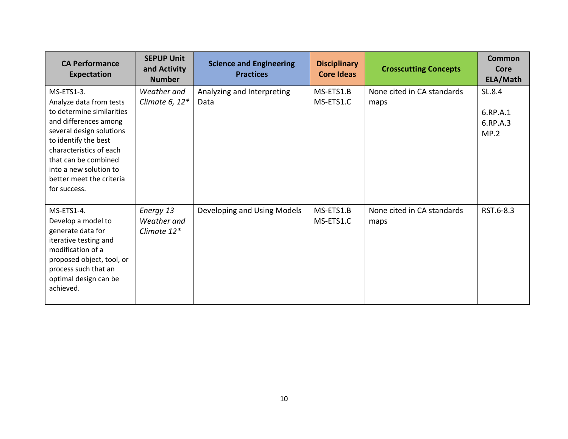| <b>CA Performance</b><br>Expectation                                                                                                                                                                                                                                     | <b>SEPUP Unit</b><br>and Activity<br><b>Number</b> | <b>Science and Engineering</b><br><b>Practices</b> | <b>Disciplinary</b><br><b>Core Ideas</b> | <b>Crosscutting Concepts</b>       | Common<br>Core<br>ELA/Math             |
|--------------------------------------------------------------------------------------------------------------------------------------------------------------------------------------------------------------------------------------------------------------------------|----------------------------------------------------|----------------------------------------------------|------------------------------------------|------------------------------------|----------------------------------------|
| MS-ETS1-3.<br>Analyze data from tests<br>to determine similarities<br>and differences among<br>several design solutions<br>to identify the best<br>characteristics of each<br>that can be combined<br>into a new solution to<br>better meet the criteria<br>for success. | Weather and<br>Climate 6, $12*$                    | Analyzing and Interpreting<br>Data                 | MS-ETS1.B<br>MS-ETS1.C                   | None cited in CA standards<br>maps | SL.8.4<br>6.RP.A.1<br>6.RP.A.3<br>MP.2 |
| MS-ETS1-4.<br>Develop a model to<br>generate data for<br>iterative testing and<br>modification of a<br>proposed object, tool, or<br>process such that an<br>optimal design can be<br>achieved.                                                                           | Energy 13<br>Weather and<br>Climate 12*            | Developing and Using Models                        | MS-ETS1.B<br>MS-ETS1.C                   | None cited in CA standards<br>maps | RST.6-8.3                              |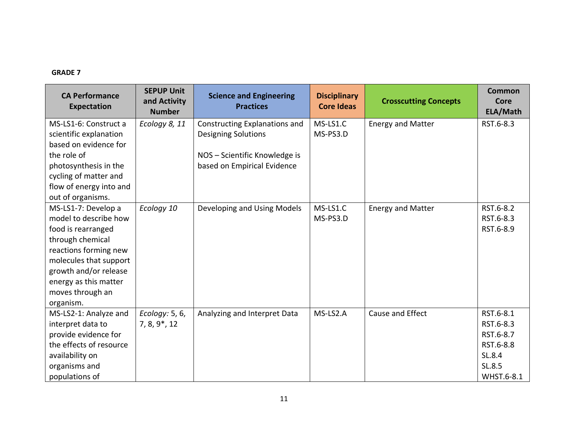# **GRADE 7**

| <b>CA Performance</b><br><b>Expectation</b> | <b>SEPUP Unit</b><br>and Activity<br><b>Number</b> | <b>Science and Engineering</b><br><b>Practices</b> | <b>Disciplinary</b><br><b>Core Ideas</b> | <b>Crosscutting Concepts</b> | Common<br>Core<br>ELA/Math |
|---------------------------------------------|----------------------------------------------------|----------------------------------------------------|------------------------------------------|------------------------------|----------------------------|
| MS-LS1-6: Construct a                       | Ecology 8, 11                                      | Constructing Explanations and                      | MS-LS1.C                                 | <b>Energy and Matter</b>     | RST.6-8.3                  |
| scientific explanation                      |                                                    | <b>Designing Solutions</b>                         | MS-PS3.D                                 |                              |                            |
| based on evidence for                       |                                                    |                                                    |                                          |                              |                            |
| the role of                                 |                                                    | NOS - Scientific Knowledge is                      |                                          |                              |                            |
| photosynthesis in the                       |                                                    | based on Empirical Evidence                        |                                          |                              |                            |
| cycling of matter and                       |                                                    |                                                    |                                          |                              |                            |
| flow of energy into and                     |                                                    |                                                    |                                          |                              |                            |
| out of organisms.                           |                                                    |                                                    |                                          |                              |                            |
| MS-LS1-7: Develop a                         | Ecology 10                                         | Developing and Using Models                        | MS-LS1.C                                 | <b>Energy and Matter</b>     | RST.6-8.2                  |
| model to describe how                       |                                                    |                                                    | MS-PS3.D                                 |                              | RST.6-8.3                  |
| food is rearranged                          |                                                    |                                                    |                                          |                              | RST.6-8.9                  |
| through chemical                            |                                                    |                                                    |                                          |                              |                            |
| reactions forming new                       |                                                    |                                                    |                                          |                              |                            |
| molecules that support                      |                                                    |                                                    |                                          |                              |                            |
| growth and/or release                       |                                                    |                                                    |                                          |                              |                            |
| energy as this matter                       |                                                    |                                                    |                                          |                              |                            |
| moves through an                            |                                                    |                                                    |                                          |                              |                            |
| organism.                                   |                                                    |                                                    |                                          |                              |                            |
| MS-LS2-1: Analyze and                       | Ecology: 5, 6,                                     | Analyzing and Interpret Data                       | MS-LS2.A                                 | Cause and Effect             | RST.6-8.1                  |
| interpret data to                           | $7, 8, 9^*$ , 12                                   |                                                    |                                          |                              | RST.6-8.3                  |
| provide evidence for                        |                                                    |                                                    |                                          |                              | RST.6-8.7                  |
| the effects of resource                     |                                                    |                                                    |                                          |                              | RST.6-8.8                  |
| availability on                             |                                                    |                                                    |                                          |                              | SL.8.4                     |
| organisms and                               |                                                    |                                                    |                                          |                              | SL.8.5                     |
| populations of                              |                                                    |                                                    |                                          |                              | WHST.6-8.1                 |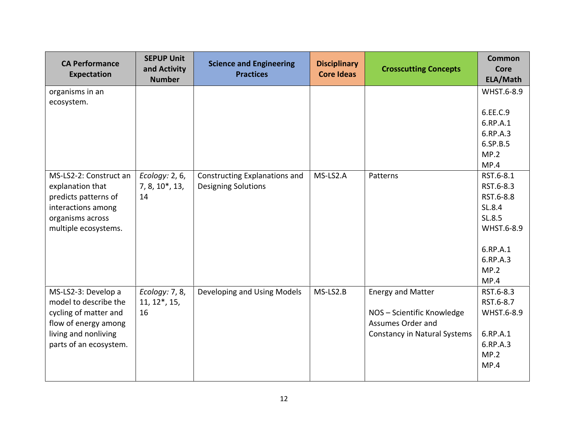| <b>CA Performance</b><br><b>Expectation</b> | <b>SEPUP Unit</b><br>and Activity<br><b>Number</b> | <b>Science and Engineering</b><br><b>Practices</b>          | <b>Disciplinary</b><br><b>Core Ideas</b> | <b>Crosscutting Concepts</b>        | <b>Common</b><br><b>Core</b><br>ELA/Math |
|---------------------------------------------|----------------------------------------------------|-------------------------------------------------------------|------------------------------------------|-------------------------------------|------------------------------------------|
| organisms in an                             |                                                    |                                                             |                                          |                                     | WHST.6-8.9                               |
| ecosystem.                                  |                                                    |                                                             |                                          |                                     |                                          |
|                                             |                                                    |                                                             |                                          |                                     | 6.EE.C.9                                 |
|                                             |                                                    |                                                             |                                          |                                     | 6.RP.A.1                                 |
|                                             |                                                    |                                                             |                                          |                                     | 6.RP.A.3                                 |
|                                             |                                                    |                                                             |                                          |                                     | 6.SP.B.5                                 |
|                                             |                                                    |                                                             |                                          |                                     | MP.2                                     |
| MS-LS2-2: Construct an                      |                                                    |                                                             | MS-LS2.A                                 | Patterns                            | MP.4<br>RST.6-8.1                        |
| explanation that                            | Ecology: 2, 6,<br>7, 8, 10*, 13,                   | Constructing Explanations and<br><b>Designing Solutions</b> |                                          |                                     | RST.6-8.3                                |
| predicts patterns of                        | 14                                                 |                                                             |                                          |                                     | RST.6-8.8                                |
| interactions among                          |                                                    |                                                             |                                          |                                     | SL.8.4                                   |
| organisms across                            |                                                    |                                                             |                                          |                                     | SL.8.5                                   |
| multiple ecosystems.                        |                                                    |                                                             |                                          |                                     | WHST.6-8.9                               |
|                                             |                                                    |                                                             |                                          |                                     |                                          |
|                                             |                                                    |                                                             |                                          |                                     | 6.RP.A.1                                 |
|                                             |                                                    |                                                             |                                          |                                     | 6.RP.A.3                                 |
|                                             |                                                    |                                                             |                                          |                                     | MP.2                                     |
|                                             |                                                    |                                                             |                                          |                                     | MP.4                                     |
| MS-LS2-3: Develop a                         | Ecology: 7, 8,                                     | Developing and Using Models                                 | MS-LS2.B                                 | <b>Energy and Matter</b>            | RST.6-8.3                                |
| model to describe the                       | $11, 12^*, 15,$                                    |                                                             |                                          |                                     | RST.6-8.7                                |
| cycling of matter and                       | 16                                                 |                                                             |                                          | NOS - Scientific Knowledge          | WHST.6-8.9                               |
| flow of energy among                        |                                                    |                                                             |                                          | Assumes Order and                   |                                          |
| living and nonliving                        |                                                    |                                                             |                                          | <b>Constancy in Natural Systems</b> | 6.RP.A.1                                 |
| parts of an ecosystem.                      |                                                    |                                                             |                                          |                                     | 6.RP.A.3                                 |
|                                             |                                                    |                                                             |                                          |                                     | MP.2                                     |
|                                             |                                                    |                                                             |                                          |                                     | MP.4                                     |
|                                             |                                                    |                                                             |                                          |                                     |                                          |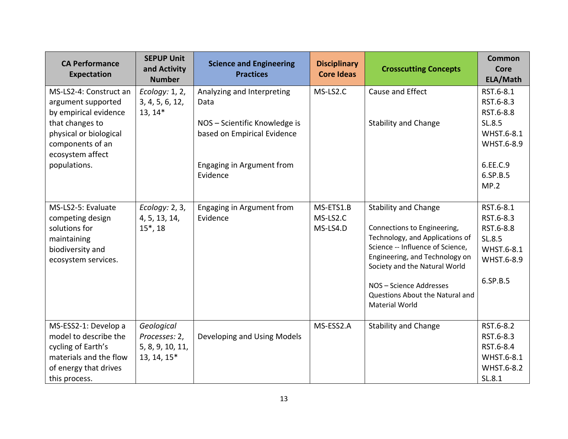| <b>CA Performance</b><br><b>Expectation</b>                                                                                             | <b>SEPUP Unit</b><br>and Activity<br><b>Number</b>             | <b>Science and Engineering</b><br><b>Practices</b>           | <b>Disciplinary</b><br><b>Core Ideas</b> | <b>Crosscutting Concepts</b>                                                                                                                                                                                                                                                                | <b>Common</b><br><b>Core</b><br>ELA/Math                                              |
|-----------------------------------------------------------------------------------------------------------------------------------------|----------------------------------------------------------------|--------------------------------------------------------------|------------------------------------------|---------------------------------------------------------------------------------------------------------------------------------------------------------------------------------------------------------------------------------------------------------------------------------------------|---------------------------------------------------------------------------------------|
| MS-LS2-4: Construct an<br>argument supported                                                                                            | Ecology: 1, 2,<br>3, 4, 5, 6, 12,                              | Analyzing and Interpreting<br>Data                           | MS-LS2.C                                 | Cause and Effect                                                                                                                                                                                                                                                                            | RST.6-8.1<br>RST.6-8.3                                                                |
| by empirical evidence<br>that changes to<br>physical or biological<br>components of an<br>ecosystem affect                              | $13, 14*$                                                      | NOS - Scientific Knowledge is<br>based on Empirical Evidence |                                          | <b>Stability and Change</b>                                                                                                                                                                                                                                                                 | RST.6-8.8<br>SL.8.5<br>WHST.6-8.1<br>WHST.6-8.9                                       |
| populations.                                                                                                                            |                                                                | Engaging in Argument from<br>Evidence                        |                                          |                                                                                                                                                                                                                                                                                             | 6.EE.C.9<br>6.SP.B.5<br>MP.2                                                          |
| MS-LS2-5: Evaluate<br>competing design<br>solutions for<br>maintaining<br>biodiversity and<br>ecosystem services.                       | Ecology: 2, 3,<br>4, 5, 13, 14,<br>$15^*$ , 18                 | Engaging in Argument from<br>Evidence                        | MS-ETS1.B<br>MS-LS2.C<br>MS-LS4.D        | <b>Stability and Change</b><br>Connections to Engineering,<br>Technology, and Applications of<br>Science -- Influence of Science,<br>Engineering, and Technology on<br>Society and the Natural World<br>NOS - Science Addresses<br>Questions About the Natural and<br><b>Material World</b> | RST.6-8.1<br>RST.6-8.3<br>RST.6-8.8<br>SL.8.5<br>WHST.6-8.1<br>WHST.6-8.9<br>6.SP.B.5 |
| MS-ESS2-1: Develop a<br>model to describe the<br>cycling of Earth's<br>materials and the flow<br>of energy that drives<br>this process. | Geological<br>Processes: 2,<br>5, 8, 9, 10, 11,<br>13, 14, 15* | Developing and Using Models                                  | MS-ESS2.A                                | <b>Stability and Change</b>                                                                                                                                                                                                                                                                 | RST.6-8.2<br>RST.6-8.3<br>RST.6-8.4<br>WHST.6-8.1<br>WHST.6-8.2<br>SL.8.1             |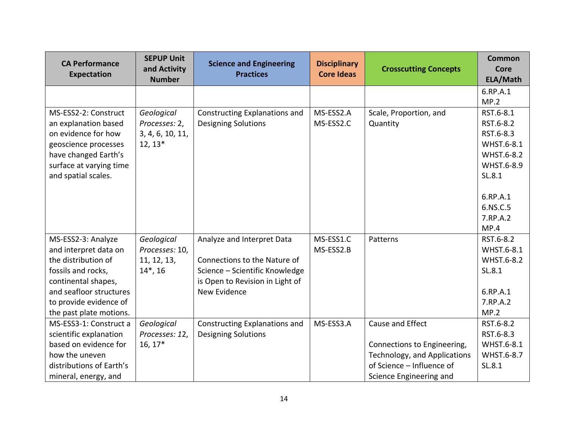| <b>CA Performance</b><br><b>Expectation</b> | <b>SEPUP Unit</b><br>and Activity<br><b>Number</b> | <b>Science and Engineering</b><br><b>Practices</b> | <b>Disciplinary</b><br><b>Core Ideas</b> | <b>Crosscutting Concepts</b> | <b>Common</b><br><b>Core</b><br>ELA/Math |
|---------------------------------------------|----------------------------------------------------|----------------------------------------------------|------------------------------------------|------------------------------|------------------------------------------|
|                                             |                                                    |                                                    |                                          |                              | 6.RP.A.1                                 |
|                                             |                                                    |                                                    |                                          |                              | MP.2                                     |
| MS-ESS2-2: Construct                        | Geological                                         | Constructing Explanations and                      | MS-ESS2.A                                | Scale, Proportion, and       | RST.6-8.1                                |
| an explanation based                        | Processes: 2,                                      | <b>Designing Solutions</b>                         | MS-ESS2.C                                | Quantity                     | RST.6-8.2                                |
| on evidence for how                         | 3, 4, 6, 10, 11,                                   |                                                    |                                          |                              | RST.6-8.3                                |
| geoscience processes                        | $12, 13*$                                          |                                                    |                                          |                              | WHST.6-8.1                               |
| have changed Earth's                        |                                                    |                                                    |                                          |                              | WHST.6-8.2                               |
| surface at varying time                     |                                                    |                                                    |                                          |                              | WHST.6-8.9                               |
| and spatial scales.                         |                                                    |                                                    |                                          |                              | SL.8.1                                   |
|                                             |                                                    |                                                    |                                          |                              | 6.RP.A.1                                 |
|                                             |                                                    |                                                    |                                          |                              | 6.NS.C.5                                 |
|                                             |                                                    |                                                    |                                          |                              | 7.RP.A.2                                 |
|                                             |                                                    |                                                    |                                          |                              | MP.4                                     |
| MS-ESS2-3: Analyze                          | Geological                                         | Analyze and Interpret Data                         | MS-ESS1.C                                | Patterns                     | RST.6-8.2                                |
| and interpret data on                       | Processes: 10,                                     |                                                    | MS-ESS2.B                                |                              | WHST.6-8.1                               |
| the distribution of                         | 11, 12, 13,                                        | Connections to the Nature of                       |                                          |                              | WHST.6-8.2                               |
| fossils and rocks,                          | $14^*$ , 16                                        | Science - Scientific Knowledge                     |                                          |                              | SL.8.1                                   |
| continental shapes,                         |                                                    | is Open to Revision in Light of                    |                                          |                              |                                          |
| and seafloor structures                     |                                                    | New Evidence                                       |                                          |                              | 6.RP.A.1                                 |
| to provide evidence of                      |                                                    |                                                    |                                          |                              | 7.RP.A.2                                 |
| the past plate motions.                     |                                                    |                                                    |                                          |                              | MP.2                                     |
| MS-ESS3-1: Construct a                      | Geological                                         | Constructing Explanations and                      | MS-ESS3.A                                | Cause and Effect             | RST.6-8.2                                |
| scientific explanation                      | Processes: 12,                                     | <b>Designing Solutions</b>                         |                                          |                              | RST.6-8.3                                |
| based on evidence for                       | $16, 17*$                                          |                                                    |                                          | Connections to Engineering,  | WHST.6-8.1                               |
| how the uneven                              |                                                    |                                                    |                                          | Technology, and Applications | WHST.6-8.7                               |
| distributions of Earth's                    |                                                    |                                                    |                                          | of Science - Influence of    | SL.8.1                                   |
| mineral, energy, and                        |                                                    |                                                    |                                          | Science Engineering and      |                                          |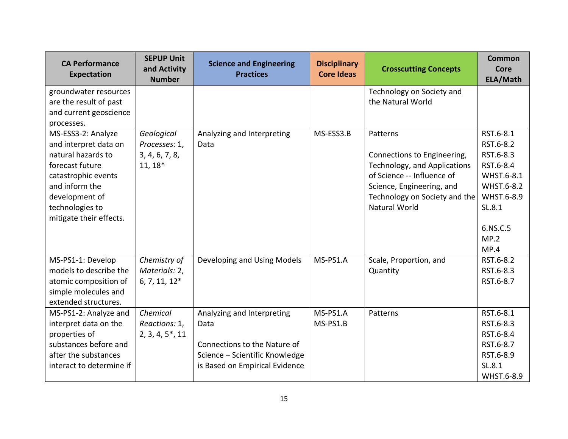| <b>CA Performance</b><br><b>Expectation</b>                                                                                                                                                   | <b>SEPUP Unit</b><br>and Activity<br><b>Number</b>         | <b>Science and Engineering</b><br><b>Practices</b>                                                                                     | <b>Disciplinary</b><br><b>Core Ideas</b> | <b>Crosscutting Concepts</b>                                                                                                                                                                | <b>Common</b><br><b>Core</b><br>ELA/Math                                                                                                |
|-----------------------------------------------------------------------------------------------------------------------------------------------------------------------------------------------|------------------------------------------------------------|----------------------------------------------------------------------------------------------------------------------------------------|------------------------------------------|---------------------------------------------------------------------------------------------------------------------------------------------------------------------------------------------|-----------------------------------------------------------------------------------------------------------------------------------------|
| groundwater resources<br>are the result of past<br>and current geoscience<br>processes.                                                                                                       |                                                            |                                                                                                                                        |                                          | Technology on Society and<br>the Natural World                                                                                                                                              |                                                                                                                                         |
| MS-ESS3-2: Analyze<br>and interpret data on<br>natural hazards to<br>forecast future<br>catastrophic events<br>and inform the<br>development of<br>technologies to<br>mitigate their effects. | Geological<br>Processes: 1,<br>3, 4, 6, 7, 8,<br>$11, 18*$ | Analyzing and Interpreting<br>Data                                                                                                     | MS-ESS3.B                                | Patterns<br>Connections to Engineering,<br>Technology, and Applications<br>of Science -- Influence of<br>Science, Engineering, and<br>Technology on Society and the<br><b>Natural World</b> | RST.6-8.1<br>RST.6-8.2<br>RST.6-8.3<br>RST.6-8.4<br>WHST.6-8.1<br><b>WHST.6-8.2</b><br>WHST.6-8.9<br>SL.8.1<br>6.NS.C.5<br>MP.2<br>MP.4 |
| MS-PS1-1: Develop<br>models to describe the<br>atomic composition of<br>simple molecules and<br>extended structures.                                                                          | Chemistry of<br>Materials: 2,<br>$6, 7, 11, 12*$           | Developing and Using Models                                                                                                            | MS-PS1.A                                 | Scale, Proportion, and<br>Quantity                                                                                                                                                          | RST.6-8.2<br>RST.6-8.3<br>RST.6-8.7                                                                                                     |
| MS-PS1-2: Analyze and<br>interpret data on the<br>properties of<br>substances before and<br>after the substances<br>interact to determine if                                                  | Chemical<br>Reactions: 1,<br>$2, 3, 4, 5^*$ , 11           | Analyzing and Interpreting<br>Data<br>Connections to the Nature of<br>Science - Scientific Knowledge<br>is Based on Empirical Evidence | MS-PS1.A<br>MS-PS1.B                     | Patterns                                                                                                                                                                                    | RST.6-8.1<br>RST.6-8.3<br>RST.6-8.4<br>RST.6-8.7<br>RST.6-8.9<br>SL.8.1<br>WHST.6-8.9                                                   |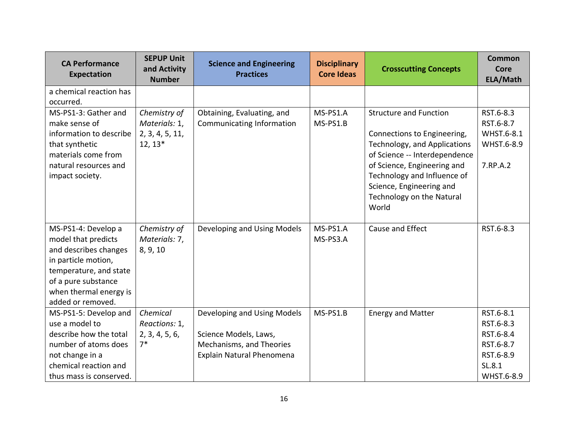| <b>CA Performance</b><br><b>Expectation</b>                                                                                                                                                | <b>SEPUP Unit</b><br>and Activity<br><b>Number</b>            | <b>Science and Engineering</b><br><b>Practices</b>                                                            | <b>Disciplinary</b><br><b>Core Ideas</b> | <b>Crosscutting Concepts</b>                                                                                                                                                                                                                                  | <b>Common</b><br><b>Core</b><br>ELA/Math                                              |
|--------------------------------------------------------------------------------------------------------------------------------------------------------------------------------------------|---------------------------------------------------------------|---------------------------------------------------------------------------------------------------------------|------------------------------------------|---------------------------------------------------------------------------------------------------------------------------------------------------------------------------------------------------------------------------------------------------------------|---------------------------------------------------------------------------------------|
| a chemical reaction has<br>occurred.                                                                                                                                                       |                                                               |                                                                                                               |                                          |                                                                                                                                                                                                                                                               |                                                                                       |
| MS-PS1-3: Gather and<br>make sense of<br>information to describe<br>that synthetic<br>materials come from<br>natural resources and<br>impact society.                                      | Chemistry of<br>Materials: 1,<br>2, 3, 4, 5, 11,<br>$12, 13*$ | Obtaining, Evaluating, and<br>Communicating Information                                                       | MS-PS1.A<br>MS-PS1.B                     | <b>Structure and Function</b><br>Connections to Engineering,<br>Technology, and Applications<br>of Science -- Interdependence<br>of Science, Engineering and<br>Technology and Influence of<br>Science, Engineering and<br>Technology on the Natural<br>World | RST.6-8.3<br>RST.6-8.7<br>WHST.6-8.1<br>WHST.6-8.9<br>7.RP.A.2                        |
| MS-PS1-4: Develop a<br>model that predicts<br>and describes changes<br>in particle motion,<br>temperature, and state<br>of a pure substance<br>when thermal energy is<br>added or removed. | Chemistry of<br>Materials: 7,<br>8, 9, 10                     | Developing and Using Models                                                                                   | MS-PS1.A<br>MS-PS3.A                     | Cause and Effect                                                                                                                                                                                                                                              | RST.6-8.3                                                                             |
| MS-PS1-5: Develop and<br>use a model to<br>describe how the total<br>number of atoms does<br>not change in a<br>chemical reaction and<br>thus mass is conserved.                           | Chemical<br>Reactions: 1,<br>2, 3, 4, 5, 6,<br>$7*$           | Developing and Using Models<br>Science Models, Laws,<br>Mechanisms, and Theories<br>Explain Natural Phenomena | MS-PS1.B                                 | <b>Energy and Matter</b>                                                                                                                                                                                                                                      | RST.6-8.1<br>RST.6-8.3<br>RST.6-8.4<br>RST.6-8.7<br>RST.6-8.9<br>SL.8.1<br>WHST.6-8.9 |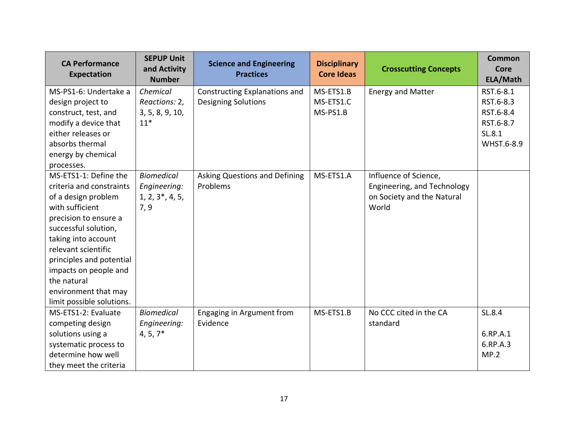| <b>CA Performance</b><br>Expectation                                                                                                                                                                                                                                                                                | <b>SEPUP Unit</b><br>and Activity<br><b>Number</b>              | <b>Science and Engineering</b><br><b>Practices</b>          | <b>Disciplinary</b><br><b>Core Ideas</b> | <b>Crosscutting Concepts</b>                                                                | <b>Common</b><br><b>Core</b><br>ELA/Math                                 |
|---------------------------------------------------------------------------------------------------------------------------------------------------------------------------------------------------------------------------------------------------------------------------------------------------------------------|-----------------------------------------------------------------|-------------------------------------------------------------|------------------------------------------|---------------------------------------------------------------------------------------------|--------------------------------------------------------------------------|
| MS-PS1-6: Undertake a<br>design project to<br>construct, test, and<br>modify a device that<br>either releases or<br>absorbs thermal<br>energy by chemical<br>processes.                                                                                                                                             | Chemical<br>Reactions: 2,<br>3, 5, 8, 9, 10,<br>$11*$           | Constructing Explanations and<br><b>Designing Solutions</b> | MS-ETS1.B<br>MS-ETS1.C<br>MS-PS1.B       | <b>Energy and Matter</b>                                                                    | RST.6-8.1<br>RST.6-8.3<br>RST.6-8.4<br>RST.6-8.7<br>SL.8.1<br>WHST.6-8.9 |
| MS-ETS1-1: Define the<br>criteria and constraints<br>of a design problem<br>with sufficient<br>precision to ensure a<br>successful solution,<br>taking into account<br>relevant scientific<br>principles and potential<br>impacts on people and<br>the natural<br>environment that may<br>limit possible solutions. | <b>Biomedical</b><br>Engineering:<br>$1, 2, 3^*, 4, 5,$<br>7, 9 | Asking Questions and Defining<br>Problems                   | MS-ETS1.A                                | Influence of Science,<br>Engineering, and Technology<br>on Society and the Natural<br>World |                                                                          |
| MS-ETS1-2: Evaluate<br>competing design<br>solutions using a<br>systematic process to<br>determine how well<br>they meet the criteria                                                                                                                                                                               | <b>Biomedical</b><br>Engineering:<br>$4, 5, 7*$                 | Engaging in Argument from<br>Evidence                       | MS-ETS1.B                                | No CCC cited in the CA<br>standard                                                          | SL.8.4<br>6.RP.A.1<br>6.RP.A.3<br>MP.2                                   |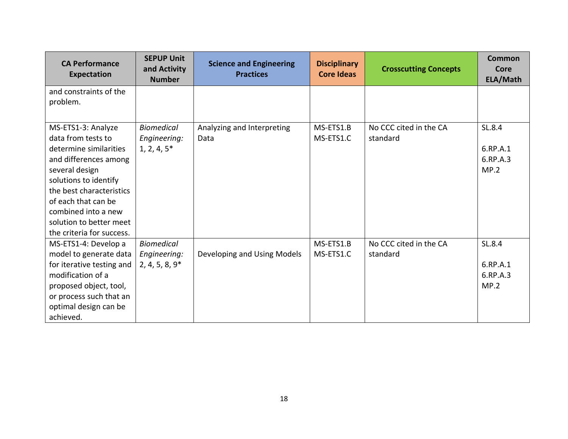| <b>CA Performance</b><br><b>Expectation</b>                                                                                                                                                                                                                              | <b>SEPUP Unit</b><br>and Activity<br><b>Number</b>    | <b>Science and Engineering</b><br><b>Practices</b> | <b>Disciplinary</b><br><b>Core Ideas</b> | <b>Crosscutting Concepts</b>       | Common<br>Core<br>ELA/Math             |
|--------------------------------------------------------------------------------------------------------------------------------------------------------------------------------------------------------------------------------------------------------------------------|-------------------------------------------------------|----------------------------------------------------|------------------------------------------|------------------------------------|----------------------------------------|
| and constraints of the<br>problem.                                                                                                                                                                                                                                       |                                                       |                                                    |                                          |                                    |                                        |
| MS-ETS1-3: Analyze<br>data from tests to<br>determine similarities<br>and differences among<br>several design<br>solutions to identify<br>the best characteristics<br>of each that can be<br>combined into a new<br>solution to better meet<br>the criteria for success. | <b>Biomedical</b><br>Engineering:<br>$1, 2, 4, 5*$    | Analyzing and Interpreting<br>Data                 | MS-ETS1.B<br>MS-ETS1.C                   | No CCC cited in the CA<br>standard | SL.8.4<br>6.RP.A.1<br>6.RP.A.3<br>MP.2 |
| MS-ETS1-4: Develop a<br>model to generate data<br>for iterative testing and<br>modification of a<br>proposed object, tool,<br>or process such that an<br>optimal design can be<br>achieved.                                                                              | <b>Biomedical</b><br>Engineering:<br>$2, 4, 5, 8, 9*$ | Developing and Using Models                        | MS-ETS1.B<br>MS-ETS1.C                   | No CCC cited in the CA<br>standard | SL.8.4<br>6.RP.A.1<br>6.RP.A.3<br>MP.2 |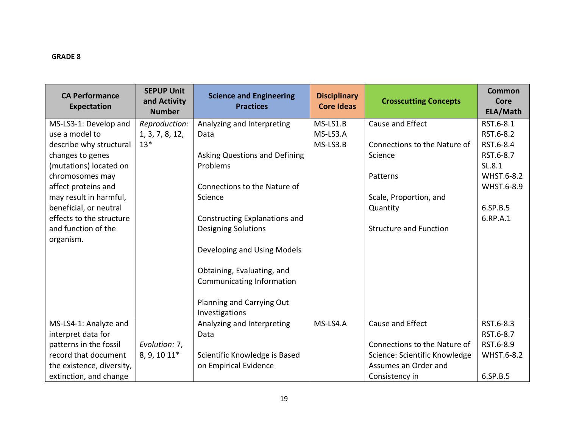| <b>CA Performance</b><br>Expectation | <b>SEPUP Unit</b><br>and Activity<br><b>Number</b> | <b>Science and Engineering</b><br><b>Practices</b> | <b>Disciplinary</b><br><b>Core Ideas</b> | <b>Crosscutting Concepts</b>  | Common<br><b>Core</b><br>ELA/Math |
|--------------------------------------|----------------------------------------------------|----------------------------------------------------|------------------------------------------|-------------------------------|-----------------------------------|
| MS-LS3-1: Develop and                | Reproduction:                                      | Analyzing and Interpreting                         | MS-LS1.B                                 | Cause and Effect              | RST.6-8.1                         |
| use a model to                       | 1, 3, 7, 8, 12,                                    | Data                                               | MS-LS3.A                                 |                               | RST.6-8.2                         |
| describe why structural              | $13*$                                              |                                                    | MS-LS3.B                                 | Connections to the Nature of  | RST.6-8.4                         |
| changes to genes                     |                                                    | Asking Questions and Defining                      |                                          | Science                       | RST.6-8.7                         |
| (mutations) located on               |                                                    | Problems                                           |                                          |                               | SL.8.1                            |
| chromosomes may                      |                                                    |                                                    |                                          | Patterns                      | <b>WHST.6-8.2</b>                 |
| affect proteins and                  |                                                    | Connections to the Nature of                       |                                          |                               | WHST.6-8.9                        |
| may result in harmful,               |                                                    | Science                                            |                                          | Scale, Proportion, and        |                                   |
| beneficial, or neutral               |                                                    |                                                    |                                          | Quantity                      | 6.SP.B.5                          |
| effects to the structure             |                                                    | Constructing Explanations and                      |                                          |                               | 6.RP.A.1                          |
| and function of the                  |                                                    | <b>Designing Solutions</b>                         |                                          | <b>Structure and Function</b> |                                   |
| organism.                            |                                                    |                                                    |                                          |                               |                                   |
|                                      |                                                    | Developing and Using Models                        |                                          |                               |                                   |
|                                      |                                                    |                                                    |                                          |                               |                                   |
|                                      |                                                    | Obtaining, Evaluating, and                         |                                          |                               |                                   |
|                                      |                                                    | Communicating Information                          |                                          |                               |                                   |
|                                      |                                                    |                                                    |                                          |                               |                                   |
|                                      |                                                    | Planning and Carrying Out                          |                                          |                               |                                   |
|                                      |                                                    | Investigations                                     |                                          |                               |                                   |
| MS-LS4-1: Analyze and                |                                                    | Analyzing and Interpreting                         | MS-LS4.A                                 | Cause and Effect              | RST.6-8.3                         |
| interpret data for                   |                                                    | Data                                               |                                          |                               | RST.6-8.7                         |
| patterns in the fossil               | Evolution: 7,                                      |                                                    |                                          | Connections to the Nature of  | RST.6-8.9                         |
| record that document                 | 8, 9, 10 11*                                       | Scientific Knowledge is Based                      |                                          | Science: Scientific Knowledge | WHST.6-8.2                        |
| the existence, diversity,            |                                                    | on Empirical Evidence                              |                                          | Assumes an Order and          |                                   |
| extinction, and change               |                                                    |                                                    |                                          | Consistency in                | 6.SP.B.5                          |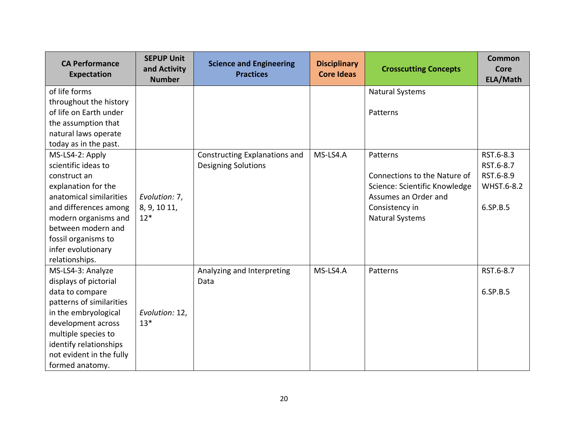| <b>CA Performance</b><br>Expectation | <b>SEPUP Unit</b><br>and Activity<br><b>Number</b> | <b>Science and Engineering</b><br><b>Practices</b> | <b>Disciplinary</b><br><b>Core Ideas</b> | <b>Crosscutting Concepts</b>  | <b>Common</b><br>Core<br>ELA/Math |
|--------------------------------------|----------------------------------------------------|----------------------------------------------------|------------------------------------------|-------------------------------|-----------------------------------|
| of life forms                        |                                                    |                                                    |                                          | <b>Natural Systems</b>        |                                   |
| throughout the history               |                                                    |                                                    |                                          |                               |                                   |
| of life on Earth under               |                                                    |                                                    |                                          | Patterns                      |                                   |
| the assumption that                  |                                                    |                                                    |                                          |                               |                                   |
| natural laws operate                 |                                                    |                                                    |                                          |                               |                                   |
| today as in the past.                |                                                    |                                                    |                                          |                               |                                   |
| MS-LS4-2: Apply                      |                                                    | <b>Constructing Explanations and</b>               | MS-LS4.A                                 | Patterns                      | RST.6-8.3                         |
| scientific ideas to                  |                                                    | <b>Designing Solutions</b>                         |                                          |                               | RST.6-8.7                         |
| construct an                         |                                                    |                                                    |                                          | Connections to the Nature of  | RST.6-8.9                         |
| explanation for the                  |                                                    |                                                    |                                          | Science: Scientific Knowledge | <b>WHST.6-8.2</b>                 |
| anatomical similarities              | Evolution: 7,                                      |                                                    |                                          | Assumes an Order and          |                                   |
| and differences among                | 8, 9, 10 11,                                       |                                                    |                                          | Consistency in                | 6.SP.B.5                          |
| modern organisms and                 | $12*$                                              |                                                    |                                          | <b>Natural Systems</b>        |                                   |
| between modern and                   |                                                    |                                                    |                                          |                               |                                   |
| fossil organisms to                  |                                                    |                                                    |                                          |                               |                                   |
| infer evolutionary                   |                                                    |                                                    |                                          |                               |                                   |
| relationships.                       |                                                    |                                                    |                                          |                               |                                   |
| MS-LS4-3: Analyze                    |                                                    | Analyzing and Interpreting                         | MS-LS4.A                                 | Patterns                      | RST.6-8.7                         |
| displays of pictorial                |                                                    | Data                                               |                                          |                               |                                   |
| data to compare                      |                                                    |                                                    |                                          |                               | 6.SP.B.5                          |
| patterns of similarities             |                                                    |                                                    |                                          |                               |                                   |
| in the embryological                 | Evolution: 12,                                     |                                                    |                                          |                               |                                   |
| development across                   | $13*$                                              |                                                    |                                          |                               |                                   |
| multiple species to                  |                                                    |                                                    |                                          |                               |                                   |
| identify relationships               |                                                    |                                                    |                                          |                               |                                   |
| not evident in the fully             |                                                    |                                                    |                                          |                               |                                   |
| formed anatomy.                      |                                                    |                                                    |                                          |                               |                                   |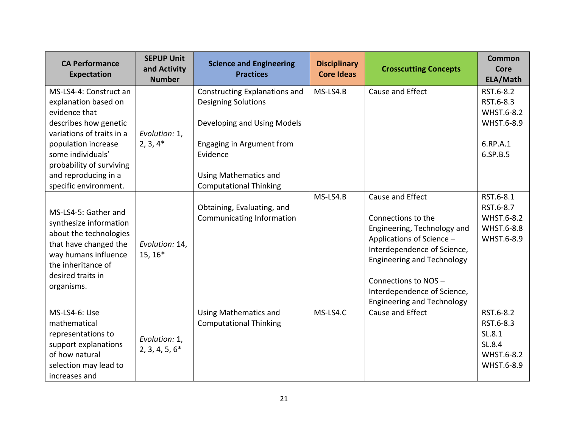| <b>CA Performance</b><br>Expectation                                                                                                                                                                                  | <b>SEPUP Unit</b><br>and Activity<br><b>Number</b> | <b>Science and Engineering</b><br><b>Practices</b>                                                                                                                  | <b>Disciplinary</b><br><b>Core Ideas</b> | <b>Crosscutting Concepts</b>                                                                                                                                                                                                                                      | <b>Common</b><br>Core<br>ELA/Math                                          |
|-----------------------------------------------------------------------------------------------------------------------------------------------------------------------------------------------------------------------|----------------------------------------------------|---------------------------------------------------------------------------------------------------------------------------------------------------------------------|------------------------------------------|-------------------------------------------------------------------------------------------------------------------------------------------------------------------------------------------------------------------------------------------------------------------|----------------------------------------------------------------------------|
| MS-LS4-4: Construct an<br>explanation based on<br>evidence that<br>describes how genetic<br>variations of traits in a<br>population increase<br>some individuals'<br>probability of surviving<br>and reproducing in a | Evolution: 1,<br>$2, 3, 4*$                        | Constructing Explanations and<br><b>Designing Solutions</b><br>Developing and Using Models<br>Engaging in Argument from<br>Evidence<br><b>Using Mathematics and</b> | MS-LS4.B                                 | Cause and Effect                                                                                                                                                                                                                                                  | RST.6-8.2<br>RST.6-8.3<br>WHST.6-8.2<br>WHST.6-8.9<br>6.RP.A.1<br>6.SP.B.5 |
| specific environment.<br>MS-LS4-5: Gather and<br>synthesize information<br>about the technologies<br>that have changed the<br>way humans influence<br>the inheritance of<br>desired traits in<br>organisms.           | Evolution: 14,<br>15, 16*                          | <b>Computational Thinking</b><br>Obtaining, Evaluating, and<br>Communicating Information                                                                            | MS-LS4.B                                 | Cause and Effect<br>Connections to the<br>Engineering, Technology and<br>Applications of Science -<br>Interdependence of Science,<br><b>Engineering and Technology</b><br>Connections to NOS-<br>Interdependence of Science,<br><b>Engineering and Technology</b> | RST.6-8.1<br>RST.6-8.7<br>WHST.6-8.2<br>WHST.6-8.8<br>WHST.6-8.9           |
| MS-LS4-6: Use<br>mathematical<br>representations to<br>support explanations<br>of how natural<br>selection may lead to<br>increases and                                                                               | Evolution: 1,<br>$2, 3, 4, 5, 6*$                  | <b>Using Mathematics and</b><br><b>Computational Thinking</b>                                                                                                       | MS-LS4.C                                 | Cause and Effect                                                                                                                                                                                                                                                  | RST.6-8.2<br>RST.6-8.3<br>SL.8.1<br>SL.8.4<br>WHST.6-8.2<br>WHST.6-8.9     |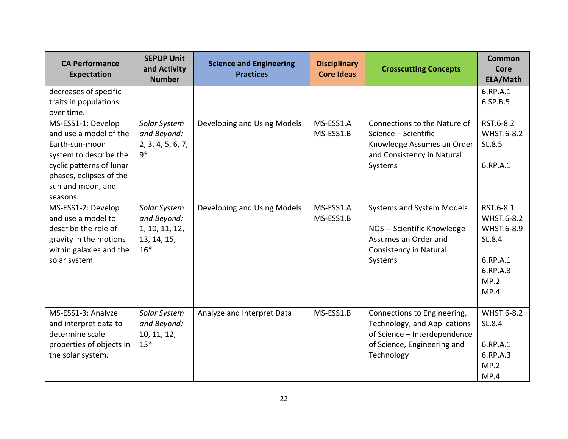| <b>CA Performance</b><br><b>Expectation</b>                                                                                                                                      | <b>SEPUP Unit</b><br>and Activity<br><b>Number</b>                    | <b>Science and Engineering</b><br><b>Practices</b> | <b>Disciplinary</b><br><b>Core Ideas</b> | <b>Crosscutting Concepts</b>                                                                                                             | <b>Common</b><br>Core<br>ELA/Math                                                       |
|----------------------------------------------------------------------------------------------------------------------------------------------------------------------------------|-----------------------------------------------------------------------|----------------------------------------------------|------------------------------------------|------------------------------------------------------------------------------------------------------------------------------------------|-----------------------------------------------------------------------------------------|
| decreases of specific<br>traits in populations<br>over time.                                                                                                                     |                                                                       |                                                    |                                          |                                                                                                                                          | 6.RP.A.1<br>6.SP.B.5                                                                    |
| MS-ESS1-1: Develop<br>and use a model of the<br>Earth-sun-moon<br>system to describe the<br>cyclic patterns of lunar<br>phases, eclipses of the<br>sun and moon, and<br>seasons. | Solar System<br>and Beyond:<br>2, 3, 4, 5, 6, 7,<br>$q*$              | Developing and Using Models                        | MS-ESS1.A<br>MS-ESS1.B                   | Connections to the Nature of<br>Science - Scientific<br>Knowledge Assumes an Order<br>and Consistency in Natural<br>Systems              | RST.6-8.2<br>WHST.6-8.2<br>SL.8.5<br>6.RP.A.1                                           |
| MS-ESS1-2: Develop<br>and use a model to<br>describe the role of<br>gravity in the motions<br>within galaxies and the<br>solar system.                                           | Solar System<br>and Beyond:<br>1, 10, 11, 12,<br>13, 14, 15,<br>$16*$ | Developing and Using Models                        | MS-ESS1.A<br>MS-ESS1.B                   | Systems and System Models<br>NOS -- Scientific Knowledge<br>Assumes an Order and<br><b>Consistency in Natural</b><br>Systems             | RST.6-8.1<br>WHST.6-8.2<br>WHST.6-8.9<br>SL.8.4<br>6.RP.A.1<br>6.RP.A.3<br>MP.2<br>MP.4 |
| MS-ESS1-3: Analyze<br>and interpret data to<br>determine scale<br>properties of objects in<br>the solar system.                                                                  | Solar System<br>and Beyond:<br>10, 11, 12,<br>$13*$                   | Analyze and Interpret Data                         | MS-ESS1.B                                | Connections to Engineering,<br>Technology, and Applications<br>of Science - Interdependence<br>of Science, Engineering and<br>Technology | WHST.6-8.2<br>SL.8.4<br>6.RP.A.1<br>6.RP.A.3<br>MP.2<br>MP.4                            |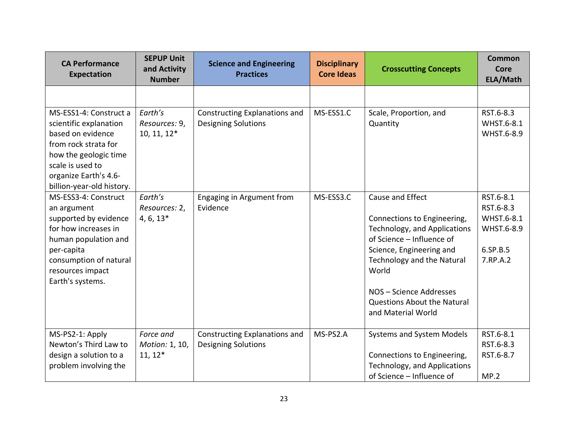| <b>CA Performance</b><br><b>Expectation</b>                                                                                                                                                      | <b>SEPUP Unit</b><br>and Activity<br><b>Number</b> | <b>Science and Engineering</b><br><b>Practices</b>                 | <b>Disciplinary</b><br><b>Core Ideas</b> | <b>Crosscutting Concepts</b>                                                                                                                                                                                                                                    | <b>Common</b><br><b>Core</b><br>ELA/Math                                   |
|--------------------------------------------------------------------------------------------------------------------------------------------------------------------------------------------------|----------------------------------------------------|--------------------------------------------------------------------|------------------------------------------|-----------------------------------------------------------------------------------------------------------------------------------------------------------------------------------------------------------------------------------------------------------------|----------------------------------------------------------------------------|
|                                                                                                                                                                                                  |                                                    |                                                                    |                                          |                                                                                                                                                                                                                                                                 |                                                                            |
| MS-ESS1-4: Construct a<br>scientific explanation<br>based on evidence<br>from rock strata for<br>how the geologic time<br>scale is used to<br>organize Earth's 4.6-<br>billion-year-old history. | Earth's<br>Resources: 9,<br>10, 11, 12*            | Constructing Explanations and<br><b>Designing Solutions</b>        | MS-ESS1.C                                | Scale, Proportion, and<br>Quantity                                                                                                                                                                                                                              | RST.6-8.3<br>WHST.6-8.1<br>WHST.6-8.9                                      |
| MS-ESS3-4: Construct<br>an argument<br>supported by evidence<br>for how increases in<br>human population and<br>per-capita<br>consumption of natural<br>resources impact<br>Earth's systems.     | Earth's<br>Resources: 2,<br>$4, 6, 13*$            | Engaging in Argument from<br>Evidence                              | MS-ESS3.C                                | Cause and Effect<br>Connections to Engineering,<br>Technology, and Applications<br>of Science - Influence of<br>Science, Engineering and<br>Technology and the Natural<br>World<br>NOS - Science Addresses<br>Questions About the Natural<br>and Material World | RST.6-8.1<br>RST.6-8.3<br>WHST.6-8.1<br>WHST.6-8.9<br>6.SP.B.5<br>7.RP.A.2 |
| MS-PS2-1: Apply<br>Newton's Third Law to<br>design a solution to a<br>problem involving the                                                                                                      | Force and<br>Motion: 1, 10,<br>$11, 12*$           | <b>Constructing Explanations and</b><br><b>Designing Solutions</b> | MS-PS2.A                                 | Systems and System Models<br>Connections to Engineering,<br>Technology, and Applications<br>of Science - Influence of                                                                                                                                           | RST.6-8.1<br>RST.6-8.3<br>RST.6-8.7<br>MP.2                                |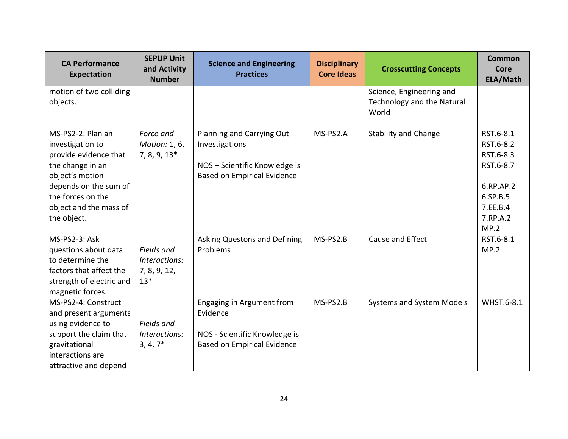| <b>CA Performance</b><br><b>Expectation</b>                                                                                                                                                  | <b>SEPUP Unit</b><br>and Activity<br><b>Number</b>   | <b>Science and Engineering</b><br><b>Practices</b>                                                                 | <b>Disciplinary</b><br><b>Core Ideas</b> | <b>Crosscutting Concepts</b>                                    | <b>Common</b><br>Core<br>ELA/Math                                                                         |
|----------------------------------------------------------------------------------------------------------------------------------------------------------------------------------------------|------------------------------------------------------|--------------------------------------------------------------------------------------------------------------------|------------------------------------------|-----------------------------------------------------------------|-----------------------------------------------------------------------------------------------------------|
| motion of two colliding<br>objects.                                                                                                                                                          |                                                      |                                                                                                                    |                                          | Science, Engineering and<br>Technology and the Natural<br>World |                                                                                                           |
| MS-PS2-2: Plan an<br>investigation to<br>provide evidence that<br>the change in an<br>object's motion<br>depends on the sum of<br>the forces on the<br>object and the mass of<br>the object. | Force and<br>Motion: 1, 6,<br>$7, 8, 9, 13*$         | Planning and Carrying Out<br>Investigations<br>NOS - Scientific Knowledge is<br><b>Based on Empirical Evidence</b> | MS-PS2.A                                 | <b>Stability and Change</b>                                     | RST.6-8.1<br>RST.6-8.2<br>RST.6-8.3<br>RST.6-8.7<br>6.RP.AP.2<br>6.SP.B.5<br>7.EE.B.4<br>7.RP.A.2<br>MP.2 |
| MS-PS2-3: Ask<br>questions about data<br>to determine the<br>factors that affect the<br>strength of electric and<br>magnetic forces.                                                         | Fields and<br>Interactions:<br>7, 8, 9, 12,<br>$13*$ | Asking Questons and Defining<br>Problems                                                                           | MS-PS2.B                                 | Cause and Effect                                                | RST.6-8.1<br>MP.2                                                                                         |
| MS-PS2-4: Construct<br>and present arguments<br>using evidence to<br>support the claim that<br>gravitational<br>interactions are<br>attractive and depend                                    | Fields and<br>Interactions:<br>$3, 4, 7*$            | Engaging in Argument from<br>Evidence<br>NOS - Scientific Knowledge is<br><b>Based on Empirical Evidence</b>       | MS-PS2.B                                 | <b>Systems and System Models</b>                                | WHST.6-8.1                                                                                                |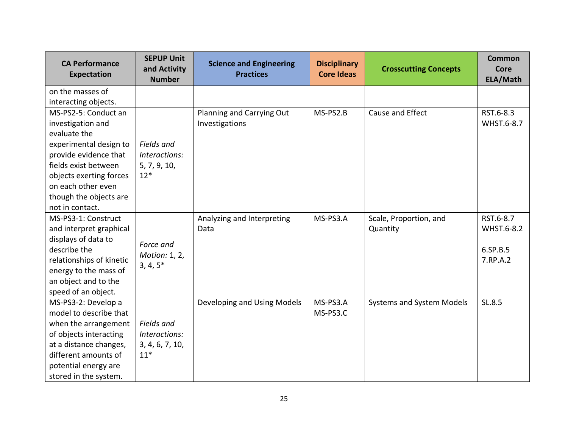| <b>CA Performance</b><br>Expectation | <b>SEPUP Unit</b><br>and Activity<br><b>Number</b> | <b>Science and Engineering</b><br><b>Practices</b> | <b>Disciplinary</b><br><b>Core Ideas</b> | <b>Crosscutting Concepts</b>     | <b>Common</b><br><b>Core</b><br>ELA/Math |
|--------------------------------------|----------------------------------------------------|----------------------------------------------------|------------------------------------------|----------------------------------|------------------------------------------|
| on the masses of                     |                                                    |                                                    |                                          |                                  |                                          |
| interacting objects.                 |                                                    |                                                    |                                          |                                  |                                          |
| MS-PS2-5: Conduct an                 |                                                    | Planning and Carrying Out                          | MS-PS2.B                                 | Cause and Effect                 | RST.6-8.3                                |
| investigation and                    |                                                    | Investigations                                     |                                          |                                  | WHST.6-8.7                               |
| evaluate the                         |                                                    |                                                    |                                          |                                  |                                          |
| experimental design to               | Fields and                                         |                                                    |                                          |                                  |                                          |
| provide evidence that                | Interactions:                                      |                                                    |                                          |                                  |                                          |
| fields exist between                 | 5, 7, 9, 10,                                       |                                                    |                                          |                                  |                                          |
| objects exerting forces              | $12*$                                              |                                                    |                                          |                                  |                                          |
| on each other even                   |                                                    |                                                    |                                          |                                  |                                          |
| though the objects are               |                                                    |                                                    |                                          |                                  |                                          |
| not in contact.                      |                                                    |                                                    |                                          |                                  |                                          |
| MS-PS3-1: Construct                  |                                                    | Analyzing and Interpreting                         | MS-PS3.A                                 | Scale, Proportion, and           | RST.6-8.7                                |
| and interpret graphical              |                                                    | Data                                               |                                          | Quantity                         | WHST.6-8.2                               |
| displays of data to                  | Force and                                          |                                                    |                                          |                                  |                                          |
| describe the                         | Motion: 1, 2,                                      |                                                    |                                          |                                  | 6.SP.B.5                                 |
| relationships of kinetic             | $3, 4, 5*$                                         |                                                    |                                          |                                  | 7.RP.A.2                                 |
| energy to the mass of                |                                                    |                                                    |                                          |                                  |                                          |
| an object and to the                 |                                                    |                                                    |                                          |                                  |                                          |
| speed of an object.                  |                                                    |                                                    |                                          |                                  |                                          |
| MS-PS3-2: Develop a                  |                                                    | Developing and Using Models                        | MS-PS3.A                                 | <b>Systems and System Models</b> | SL.8.5                                   |
| model to describe that               |                                                    |                                                    | MS-PS3.C                                 |                                  |                                          |
| when the arrangement                 | Fields and                                         |                                                    |                                          |                                  |                                          |
| of objects interacting               | Interactions:                                      |                                                    |                                          |                                  |                                          |
| at a distance changes,               | 3, 4, 6, 7, 10,                                    |                                                    |                                          |                                  |                                          |
| different amounts of                 | $11*$                                              |                                                    |                                          |                                  |                                          |
| potential energy are                 |                                                    |                                                    |                                          |                                  |                                          |
| stored in the system.                |                                                    |                                                    |                                          |                                  |                                          |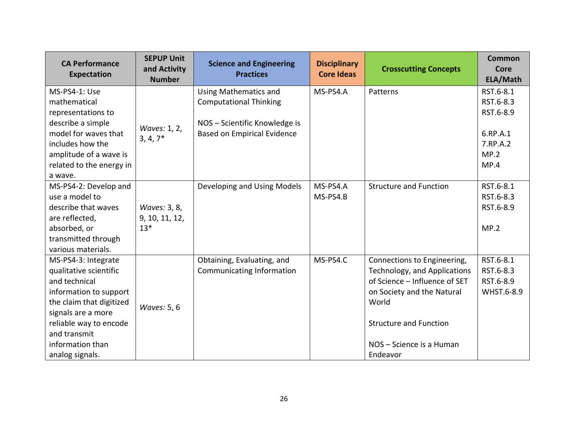| <b>CA Performance</b><br>Expectation                                                                                                                                                                                        | <b>SEPUP Unit</b><br>and Activity<br><b>Number</b> | <b>Science and Engineering</b><br><b>Practices</b>                                                                                   | <b>Disciplinary</b><br><b>Core Ideas</b> | <b>Crosscutting Concepts</b>                                                                                                                                                                                 | <b>Common</b><br>Core<br>ELA/Math                                           |
|-----------------------------------------------------------------------------------------------------------------------------------------------------------------------------------------------------------------------------|----------------------------------------------------|--------------------------------------------------------------------------------------------------------------------------------------|------------------------------------------|--------------------------------------------------------------------------------------------------------------------------------------------------------------------------------------------------------------|-----------------------------------------------------------------------------|
| MS-PS4-1: Use<br>mathematical<br>representations to<br>describe a simple<br>model for waves that<br>includes how the<br>amplitude of a wave is<br>related to the energy in<br>a wave.                                       | Waves: 1, 2,<br>$3, 4, 7*$                         | <b>Using Mathematics and</b><br><b>Computational Thinking</b><br>NOS - Scientific Knowledge is<br><b>Based on Empirical Evidence</b> | MS-PS4.A                                 | Patterns                                                                                                                                                                                                     | RST.6-8.1<br>RST.6-8.3<br>RST.6-8.9<br>6.RP.A.1<br>7.RP.A.2<br>MP.2<br>MP.4 |
| MS-PS4-2: Develop and<br>use a model to<br>describe that waves<br>are reflected,<br>absorbed, or<br>transmitted through<br>various materials.                                                                               | Waves: 3, 8,<br>9, 10, 11, 12,<br>$13*$            | Developing and Using Models                                                                                                          | MS-PS4.A<br>MS-PS4.B                     | <b>Structure and Function</b>                                                                                                                                                                                | RST.6-8.1<br>RST.6-8.3<br>RST.6-8.9<br>MP.2                                 |
| MS-PS4-3: Integrate<br>qualitative scientific<br>and technical<br>information to support<br>the claim that digitized<br>signals are a more<br>reliable way to encode<br>and transmit<br>information than<br>analog signals. | Waves: 5, 6                                        | Obtaining, Evaluating, and<br>Communicating Information                                                                              | MS-PS4.C                                 | Connections to Engineering,<br>Technology, and Applications<br>of Science - Influence of SET<br>on Society and the Natural<br>World<br><b>Structure and Function</b><br>NOS - Science is a Human<br>Endeavor | RST.6-8.1<br>RST.6-8.3<br>RST.6-8.9<br>WHST.6-8.9                           |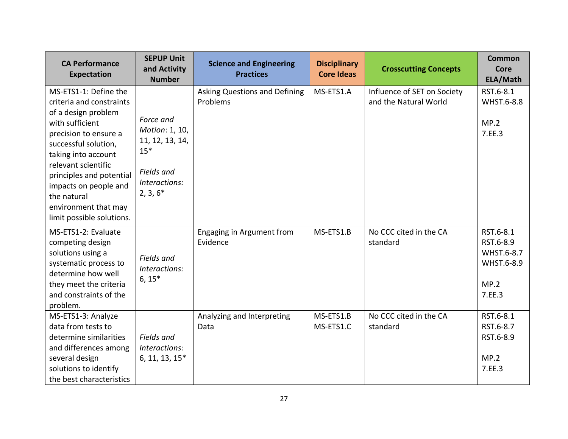| <b>CA Performance</b><br>Expectation                                                                                                                                                                                                                                                                                | <b>SEPUP Unit</b><br>and Activity<br><b>Number</b>                                                   | <b>Science and Engineering</b><br><b>Practices</b> | <b>Disciplinary</b><br><b>Core Ideas</b> | <b>Crosscutting Concepts</b>                         | <b>Common</b><br>Core<br>ELA/Math                                    |
|---------------------------------------------------------------------------------------------------------------------------------------------------------------------------------------------------------------------------------------------------------------------------------------------------------------------|------------------------------------------------------------------------------------------------------|----------------------------------------------------|------------------------------------------|------------------------------------------------------|----------------------------------------------------------------------|
| MS-ETS1-1: Define the<br>criteria and constraints<br>of a design problem<br>with sufficient<br>precision to ensure a<br>successful solution,<br>taking into account<br>relevant scientific<br>principles and potential<br>impacts on people and<br>the natural<br>environment that may<br>limit possible solutions. | Force and<br>Motion: 1, 10,<br>11, 12, 13, 14,<br>$15*$<br>Fields and<br>Interactions:<br>$2, 3, 6*$ | Asking Questions and Defining<br>Problems          | MS-ETS1.A                                | Influence of SET on Society<br>and the Natural World | RST.6-8.1<br>WHST.6-8.8<br>MP.2<br>7.EE.3                            |
| MS-ETS1-2: Evaluate<br>competing design<br>solutions using a<br>systematic process to<br>determine how well<br>they meet the criteria<br>and constraints of the<br>problem.                                                                                                                                         | Fields and<br>Interactions:<br>$6, 15*$                                                              | Engaging in Argument from<br>Evidence              | MS-ETS1.B                                | No CCC cited in the CA<br>standard                   | RST.6-8.1<br>RST.6-8.9<br>WHST.6-8.7<br>WHST.6-8.9<br>MP.2<br>7.EE.3 |
| MS-ETS1-3: Analyze<br>data from tests to<br>determine similarities<br>and differences among<br>several design<br>solutions to identify<br>the best characteristics                                                                                                                                                  | Fields and<br>Interactions:<br>6, 11, 13, 15*                                                        | Analyzing and Interpreting<br>Data                 | MS-ETS1.B<br>MS-ETS1.C                   | No CCC cited in the CA<br>standard                   | RST.6-8.1<br>RST.6-8.7<br>RST.6-8.9<br>MP.2<br>7.EE.3                |